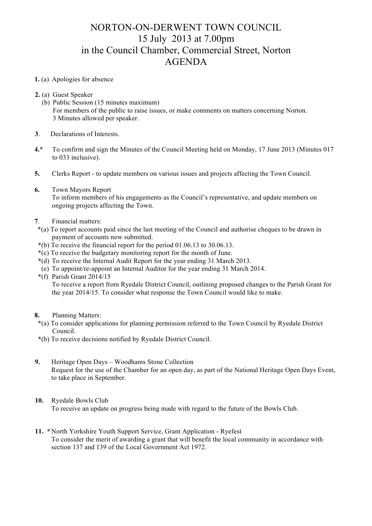## NORTON-ON-DERWENT TOWN COUNCIL 15 July 2013 at 7.00pm in the Council Chamber, Commercial Street, Norton AGENDA

## **1.** (a) Apologies for absence

- **2.** (a) Guest Speaker
	- (b) Public Session (15 minutes maximum) For members of the public to raise issues, or make comments on matters concerning Norton. 3 Minutes allowed per speaker.
- **3**. Declarations of Interests.
- **4.**\* To confirm and sign the Minutes of the Council Meeting held on Monday, 17 June 2013 (Minutes 017 to 033 inclusive).
- **5.** Clerks Report to update members on various issues and projects affecting the Town Council.
- **6.** Town Mayors Report To inform members of his engagements as the Council's representative, and update members on ongoing projects affecting the Town.
- **7**. Financial matters:
- \*(a) To report accounts paid since the last meeting of the Council and authorise cheques to be drawn in payment of accounts now submitted.
- \*(b) To receive the financial report for the period 01.06.13 to 30.06.13.
- \*(c) To receive the budgetary monitoring report for the month of June.
- \*(d) To receive the Internal Audit Report for the year ending 31 March 2013.
- (e) To appoint/re-appoint an Internal Auditor for the year ending 31 March 2014.
- \*(f) Parish Grant 2014/15

To receive a report from Ryedale District Council, outlining proposed changes to the Parish Grant for the year 2014/15. To consider what response the Town Council would like to make.

- **8.** Planning Matters:
- \*(a) To consider applications for planning permission referred to the Town Council by Ryedale District Council.
- \*(b) To receive decisions notified by Ryedale District Council.
- **9.** Heritage Open Days Woodhams Stone Collection Request for the use of the Chamber for an open day, as part of the National Heritage Open Days Event, to take place in September.
- **10.** Ryedale Bowls Club To receive an update on progress being made with regard to the future of the Bowls Club.
- **11. \*** North Yorkshire Youth Support Service, Grant Application Ryefest To consider the merit of awarding a grant that will benefit the local community in accordance with section 137 and 139 of the Local Government Act 1972.